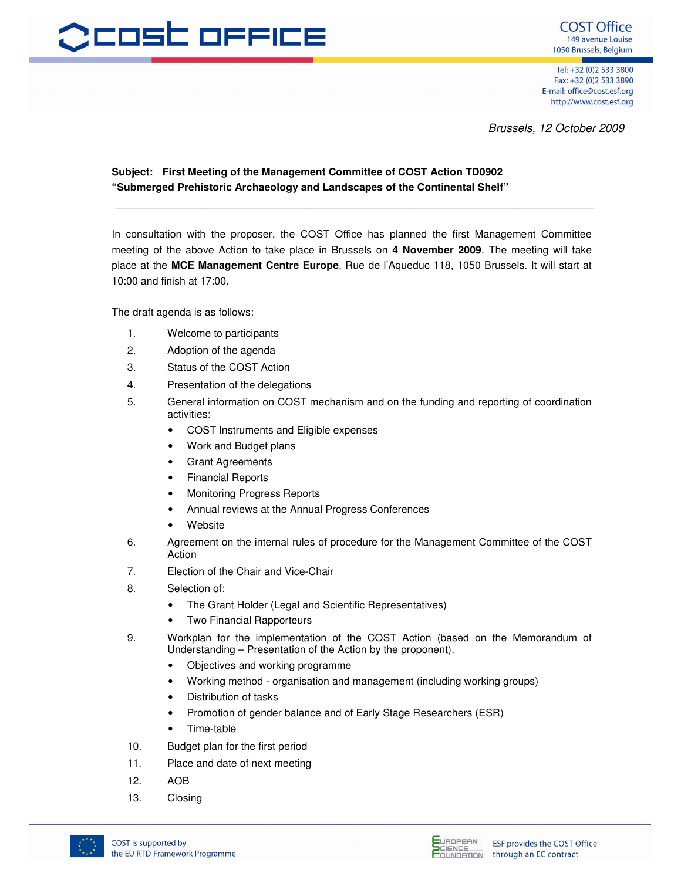

Tel: +32 (0)2 533 3800 Fax: +32 (0)2 533 3890 E-mail: office@cost.esf.org http://www.cost.esf.org

Brussels, 12 October 2009

## **Subject: First Meeting of the Management Committee of COST Action TD0902 "Submerged Prehistoric Archaeology and Landscapes of the Continental Shelf"**

In consultation with the proposer, the COST Office has planned the first Management Committee meeting of the above Action to take place in Brussels on **4 November 2009**. The meeting will take place at the **MCE Management Centre Europe**, Rue de l'Aqueduc 118, 1050 Brussels. It will start at 10:00 and finish at 17:00.

\_\_\_\_\_\_\_\_\_\_\_\_\_\_\_\_\_\_\_\_\_\_\_\_\_\_\_\_\_\_\_\_\_\_\_\_\_\_\_\_\_\_\_\_\_\_\_\_\_\_\_\_\_\_\_\_\_\_\_\_\_\_\_\_\_\_\_\_\_\_\_\_\_\_\_\_\_\_\_\_\_\_\_

The draft agenda is as follows:

- 1. Welcome to participants
- 2. Adoption of the agenda
- 3. Status of the COST Action
- 4. Presentation of the delegations
- 5. General information on COST mechanism and on the funding and reporting of coordination activities:
	- COST Instruments and Eligible expenses
	- Work and Budget plans
	- **Grant Agreements**
	- Financial Reports
	- Monitoring Progress Reports
	- Annual reviews at the Annual Progress Conferences
	- **Website**
- 6. Agreement on the internal rules of procedure for the Management Committee of the COST Action
- 7. Election of the Chair and Vice-Chair
- 8. Selection of:
	- The Grant Holder (Legal and Scientific Representatives)
	- Two Financial Rapporteurs
- 9. Workplan for the implementation of the COST Action (based on the Memorandum of Understanding – Presentation of the Action by the proponent).
	- Objectives and working programme
	- Working method organisation and management (including working groups)
	- Distribution of tasks
	- Promotion of gender balance and of Early Stage Researchers (ESR)
	- Time-table
- 10. Budget plan for the first period
- 11. Place and date of next meeting
- 12. AOB
- 13. Closing